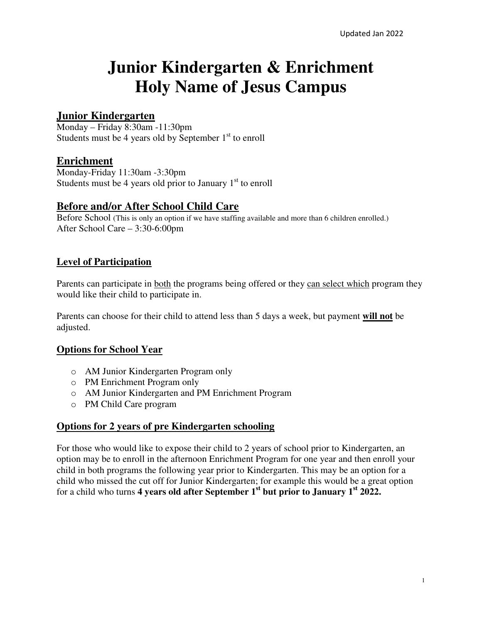# **Junior Kindergarten & Enrichment Holy Name of Jesus Campus**

# **Junior Kindergarten**

Monday – Friday 8:30am -11:30pm Students must be 4 years old by September  $1<sup>st</sup>$  to enroll

## **Enrichment**

Monday-Friday 11:30am -3:30pm Students must be 4 years old prior to January  $1<sup>st</sup>$  to enroll

## **Before and/or After School Child Care**

Before School (This is only an option if we have staffing available and more than 6 children enrolled.) After School Care – 3:30-6:00pm

## **Level of Participation**

Parents can participate in <u>both</u> the programs being offered or they can select which program they would like their child to participate in.

Parents can choose for their child to attend less than 5 days a week, but payment **will not** be adjusted.

## **Options for School Year**

- o AM Junior Kindergarten Program only
- o PM Enrichment Program only
- o AM Junior Kindergarten and PM Enrichment Program
- o PM Child Care program

#### **Options for 2 years of pre Kindergarten schooling**

For those who would like to expose their child to 2 years of school prior to Kindergarten, an option may be to enroll in the afternoon Enrichment Program for one year and then enroll your child in both programs the following year prior to Kindergarten. This may be an option for a child who missed the cut off for Junior Kindergarten; for example this would be a great option for a child who turns **4 years old after September 1st but prior to January 1st 2022.**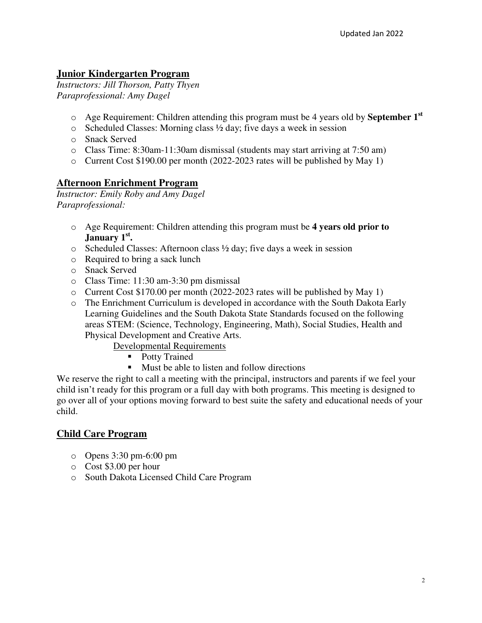# **Junior Kindergarten Program**

*Instructors: Jill Thorson, Patty Thyen Paraprofessional: Amy Dagel* 

- o Age Requirement: Children attending this program must be 4 years old by **September 1st**
- $\circ$  Scheduled Classes: Morning class  $\frac{1}{2}$  day; five days a week in session
- o Snack Served
- o Class Time: 8:30am-11:30am dismissal (students may start arriving at 7:50 am)
- o Current Cost \$190.00 per month (2022-2023 rates will be published by May 1)

# **Afternoon Enrichment Program**

*Instructor: Emily Roby and Amy Dagel Paraprofessional:* 

- o Age Requirement: Children attending this program must be **4 years old prior to January 1st .**
- o Scheduled Classes: Afternoon class ½ day; five days a week in session
- o Required to bring a sack lunch
- o Snack Served
- o Class Time: 11:30 am-3:30 pm dismissal
- o Current Cost \$170.00 per month (2022-2023 rates will be published by May 1)
- o The Enrichment Curriculum is developed in accordance with the South Dakota Early Learning Guidelines and the South Dakota State Standards focused on the following areas STEM: (Science, Technology, Engineering, Math), Social Studies, Health and Physical Development and Creative Arts.

Developmental Requirements

- Potty Trained
- Must be able to listen and follow directions

We reserve the right to call a meeting with the principal, instructors and parents if we feel your child isn't ready for this program or a full day with both programs. This meeting is designed to go over all of your options moving forward to best suite the safety and educational needs of your child.

## **Child Care Program**

- o Opens 3:30 pm-6:00 pm
- o Cost \$3.00 per hour
- o South Dakota Licensed Child Care Program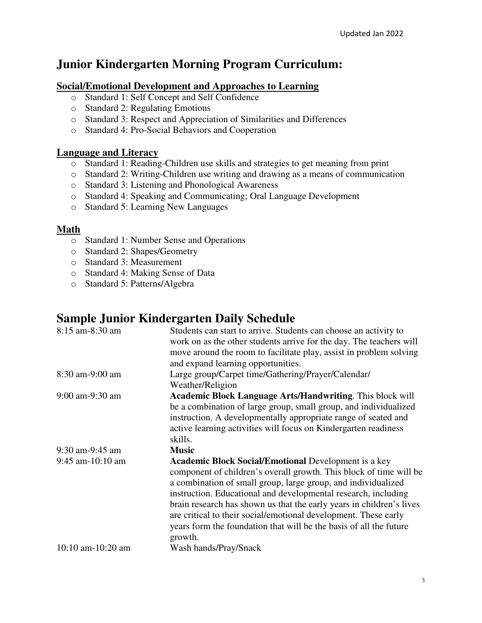# **Junior Kindergarten Morning Program Curriculum:**

#### **Social/Emotional Development and Approaches to Learning**

- o Standard 1: Self Concept and Self Confidence
- o Standard 2: Regulating Emotions
- o Standard 3: Respect and Appreciation of Similarities and Differences
- o Standard 4: Pro-Social Behaviors and Cooperation

#### **Language and Literacy**

- o Standard 1: Reading-Children use skills and strategies to get meaning from print
- o Standard 2: Writing-Children use writing and drawing as a means of communication
- o Standard 3: Listening and Phonological Awareness
- o Standard 4: Speaking and Communicating; Oral Language Development
- o Standard 5: Learning New Languages

#### **Math**

- o Standard 1: Number Sense and Operations
- o Standard 2: Shapes/Geometry
- o Standard 3: Measurement
- o Standard 4: Making Sense of Data
- o Standard 5: Patterns/Algebra

# **Sample Junior Kindergarten Daily Schedule**

| $8:15$ am- $8:30$ am   | Students can start to arrive. Students can choose an activity to<br>work on as the other students arrive for the day. The teachers will<br>move around the room to facilitate play, assist in problem solving<br>and expand learning opportunities.                                                                                                                                                                                                                                              |
|------------------------|--------------------------------------------------------------------------------------------------------------------------------------------------------------------------------------------------------------------------------------------------------------------------------------------------------------------------------------------------------------------------------------------------------------------------------------------------------------------------------------------------|
| 8:30 am-9:00 am        | Large group/Carpet time/Gathering/Prayer/Calendar/<br>Weather/Religion                                                                                                                                                                                                                                                                                                                                                                                                                           |
| 9:00 am-9:30 am        | <b>Academic Block Language Arts/Handwriting.</b> This block will<br>be a combination of large group, small group, and individualized<br>instruction. A developmentally appropriate range of seated and<br>active learning activities will focus on Kindergarten readiness<br>skills.                                                                                                                                                                                                             |
| 9:30 am-9:45 am        | <b>Music</b>                                                                                                                                                                                                                                                                                                                                                                                                                                                                                     |
| $9:45$ am-10:10 am     | <b>Academic Block Social/Emotional Development is a key</b><br>component of children's overall growth. This block of time will be<br>a combination of small group, large group, and individualized<br>instruction. Educational and developmental research, including<br>brain research has shown us that the early years in children's lives<br>are critical to their social/emotional development. These early<br>years form the foundation that will be the basis of all the future<br>growth. |
| $10:10$ am- $10:20$ am | Wash hands/Pray/Snack                                                                                                                                                                                                                                                                                                                                                                                                                                                                            |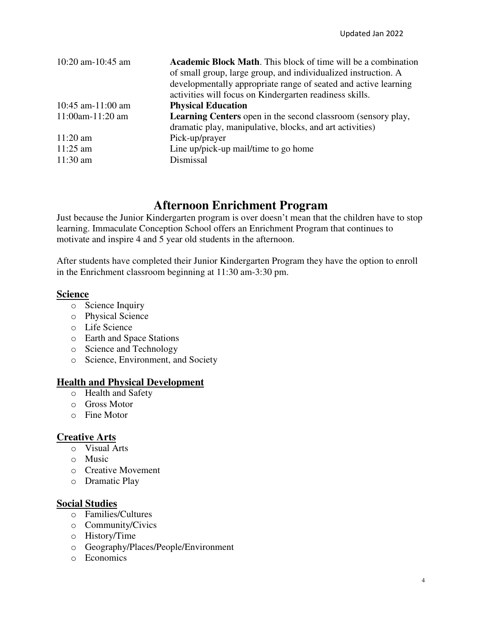| 10:20 am-10:45 am      | <b>Academic Block Math.</b> This block of time will be a combination<br>of small group, large group, and individualized instruction. A<br>developmentally appropriate range of seated and active learning<br>activities will focus on Kindergarten readiness skills. |
|------------------------|----------------------------------------------------------------------------------------------------------------------------------------------------------------------------------------------------------------------------------------------------------------------|
| $10:45$ am- $11:00$ am | <b>Physical Education</b>                                                                                                                                                                                                                                            |
| $11:00$ am- $11:20$ am | <b>Learning Centers</b> open in the second classroom (sensory play,                                                                                                                                                                                                  |
|                        | dramatic play, manipulative, blocks, and art activities)                                                                                                                                                                                                             |
| $11:20$ am             | Pick-up/prayer                                                                                                                                                                                                                                                       |
| $11:25$ am             | Line up/pick-up mail/time to go home                                                                                                                                                                                                                                 |
| $11:30$ am             | Dismissal                                                                                                                                                                                                                                                            |

# **Afternoon Enrichment Program**

Just because the Junior Kindergarten program is over doesn't mean that the children have to stop learning. Immaculate Conception School offers an Enrichment Program that continues to motivate and inspire 4 and 5 year old students in the afternoon.

After students have completed their Junior Kindergarten Program they have the option to enroll in the Enrichment classroom beginning at 11:30 am-3:30 pm.

#### **Science**

- o Science Inquiry
- o Physical Science
- o Life Science
- o Earth and Space Stations
- o Science and Technology
- o Science, Environment, and Society

# **Health and Physical Development**

- o Health and Safety
- o Gross Motor
- o Fine Motor

#### **Creative Arts**

- o Visual Arts
- o Music
- o Creative Movement
- o Dramatic Play

#### **Social Studies**

- o Families/Cultures
- o Community/Civics
- o History/Time
- o Geography/Places/People/Environment
- o Economics